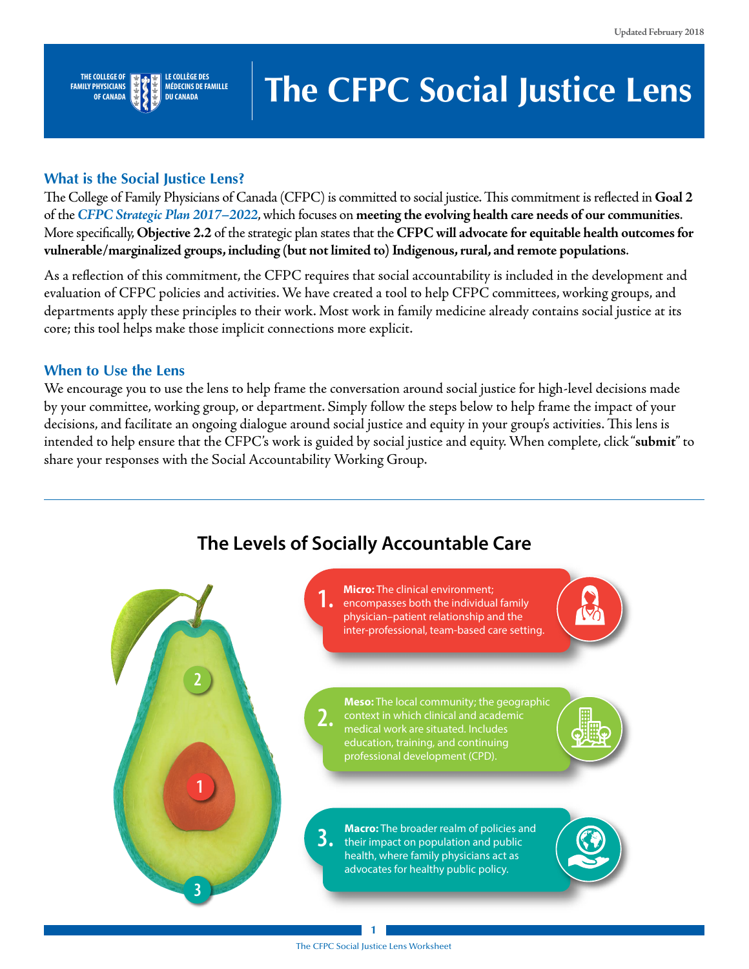

#### **LE COLLÈGE DES MÉDECINS DE FAMILLE DU CANADA**

# **The CFPC Social Justice Lens**

### **What is the Social Justice Lens?**

The College of Family Physicians of Canada (CFPC) is committed to social justice. This commitment is reflected in **Goal 2** of the *[CFPC Strategic Plan 2017–2022](http://www.cfpc.ca/uploadedFiles/Publications/CFPCStratPlan17-22_ENG.pdf)*, which focuses on **meeting the evolving health care needs of our communities**. More specifcally, **Objective 2.2** of the strategic plan states that the **CFPC will advocate for equitable health outcomes for vulnerable/marginalized groups, including (but not limited to) Indigenous, rural, and remote populations**.

As a refection of this commitment, the CFPC requires that social accountability is included in the development and evaluation of CFPC policies and activities. We have created a tool to help CFPC committees, working groups, and departments apply these principles to their work. Most work in family medicine already contains social justice at its core; this tool helps make those implicit connections more explicit.

### **When to Use the Lens**

We encourage you to use the lens to help frame the conversation around social justice for high-level decisions made by your committee, working group, or department. Simply follow the steps below to help frame the impact of your decisions, and facilitate an ongoing dialogue around social justice and equity in your group's activities. This lens is intended to help ensure that the CFPC's work is guided by social justice and equity. When complete, click "**submit**" to share your responses with the Social Accountability Working Group.